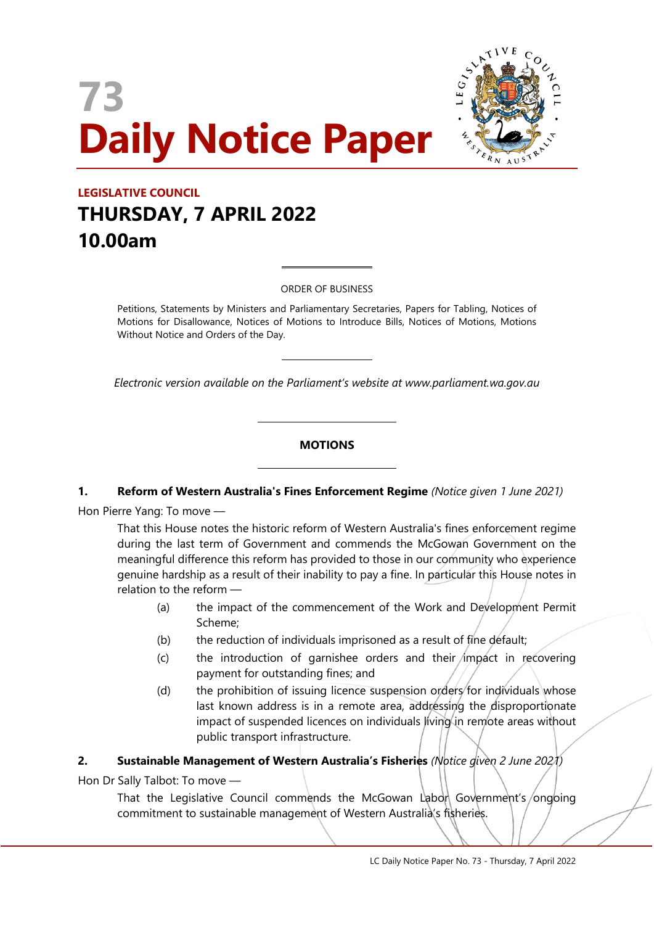# **73 Daily Notice Paper**



# **LEGISLATIVE COUNCIL THURSDAY, 7 APRIL 2022 10.00am**

ORDER OF BUSINESS

 $\overline{a}$ 

 $\overline{a}$ 

 $\overline{\phantom{a}}$ 

 $\overline{\phantom{a}}$ 

Petitions, Statements by Ministers and Parliamentary Secretaries, Papers for Tabling, Notices of Motions for Disallowance, Notices of Motions to Introduce Bills, Notices of Motions, Motions Without Notice and Orders of the Day.

*Electronic version available on the Parliament's website at www.parliament.wa.gov.au*

# **MOTIONS**

# **1. Reform of Western Australia's Fines Enforcement Regime** *(Notice given 1 June 2021)*

Hon Pierre Yang: To move —

That this House notes the historic reform of Western Australia's fines enforcement regime during the last term of Government and commends the McGowan Government on the meaningful difference this reform has provided to those in our community who experience genuine hardship as a result of their inability to pay a fine. In particular this House notes in relation to the reform —

- (a) the impact of the commencement of the Work and Development Permit Scheme;
- (b) the reduction of individuals imprisoned as a result of fine default;
- $(c)$  the introduction of garnishee orders and their impact in recovering payment for outstanding fines; and
- (d) the prohibition of issuing licence suspension orders for individuals whose last known address is in a remote area, addressing the disproportionate impact of suspended licences on individuals living in remote areas without public transport infrastructure.

# **2. Sustainable Management of Western Australia's Fisheries** *(Notice given 2 June 2021)*

Hon Dr Sally Talbot: To move —

That the Legislative Council commends the McGowan Labor Government's/ongoing commitment to sustainable management of Western Australia's fisheries.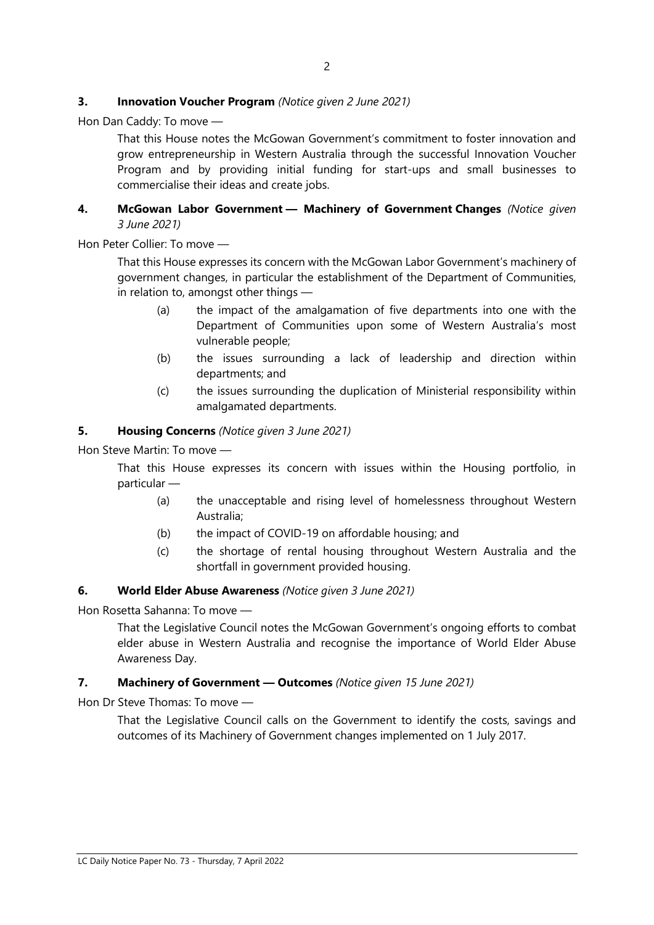#### **3. Innovation Voucher Program** *(Notice given 2 June 2021)*

Hon Dan Caddy: To move —

That this House notes the McGowan Government's commitment to foster innovation and grow entrepreneurship in Western Australia through the successful Innovation Voucher Program and by providing initial funding for start-ups and small businesses to commercialise their ideas and create jobs.

#### **4. McGowan Labor Government — Machinery of Government Changes** *(Notice given 3 June 2021)*

Hon Peter Collier: To move —

That this House expresses its concern with the McGowan Labor Government's machinery of government changes, in particular the establishment of the Department of Communities, in relation to, amongst other things —

- (a) the impact of the amalgamation of five departments into one with the Department of Communities upon some of Western Australia's most vulnerable people;
- (b) the issues surrounding a lack of leadership and direction within departments; and
- (c) the issues surrounding the duplication of Ministerial responsibility within amalgamated departments.

#### **5. Housing Concerns** *(Notice given 3 June 2021)*

Hon Steve Martin: To move —

That this House expresses its concern with issues within the Housing portfolio, in particular —

- (a) the unacceptable and rising level of homelessness throughout Western Australia;
- (b) the impact of COVID-19 on affordable housing; and
- (c) the shortage of rental housing throughout Western Australia and the shortfall in government provided housing.

#### **6. World Elder Abuse Awareness** *(Notice given 3 June 2021)*

Hon Rosetta Sahanna: To move —

That the Legislative Council notes the McGowan Government's ongoing efforts to combat elder abuse in Western Australia and recognise the importance of World Elder Abuse Awareness Day.

#### **7. Machinery of Government — Outcomes** *(Notice given 15 June 2021)*

Hon Dr Steve Thomas: To move —

That the Legislative Council calls on the Government to identify the costs, savings and outcomes of its Machinery of Government changes implemented on 1 July 2017.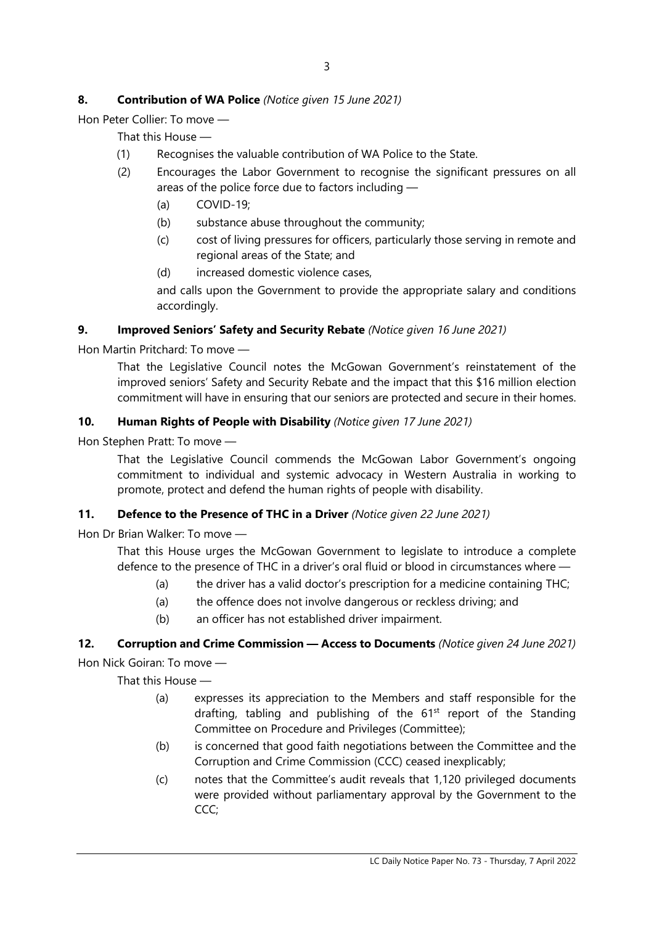# **8. Contribution of WA Police** *(Notice given 15 June 2021)*

Hon Peter Collier: To move —

That this House —

- (1) Recognises the valuable contribution of WA Police to the State.
- (2) Encourages the Labor Government to recognise the significant pressures on all areas of the police force due to factors including —
	- (a) COVID-19;
	- (b) substance abuse throughout the community;
	- (c) cost of living pressures for officers, particularly those serving in remote and regional areas of the State; and
	- (d) increased domestic violence cases,

and calls upon the Government to provide the appropriate salary and conditions accordingly.

### **9. Improved Seniors' Safety and Security Rebate** *(Notice given 16 June 2021)*

Hon Martin Pritchard: To move —

That the Legislative Council notes the McGowan Government's reinstatement of the improved seniors' Safety and Security Rebate and the impact that this \$16 million election commitment will have in ensuring that our seniors are protected and secure in their homes.

### **10. Human Rights of People with Disability** *(Notice given 17 June 2021)*

Hon Stephen Pratt: To move —

That the Legislative Council commends the McGowan Labor Government's ongoing commitment to individual and systemic advocacy in Western Australia in working to promote, protect and defend the human rights of people with disability.

# **11. Defence to the Presence of THC in a Driver** *(Notice given 22 June 2021)*

Hon Dr Brian Walker: To move —

That this House urges the McGowan Government to legislate to introduce a complete defence to the presence of THC in a driver's oral fluid or blood in circumstances where —

- (a) the driver has a valid doctor's prescription for a medicine containing THC;
- (a) the offence does not involve dangerous or reckless driving; and
- (b) an officer has not established driver impairment.

# **12. Corruption and Crime Commission — Access to Documents** *(Notice given 24 June 2021)*

Hon Nick Goiran: To move —

That this House —

- (a) expresses its appreciation to the Members and staff responsible for the drafting, tabling and publishing of the  $61<sup>st</sup>$  report of the Standing Committee on Procedure and Privileges (Committee);
- (b) is concerned that good faith negotiations between the Committee and the Corruption and Crime Commission (CCC) ceased inexplicably;
- (c) notes that the Committee's audit reveals that 1,120 privileged documents were provided without parliamentary approval by the Government to the CCC;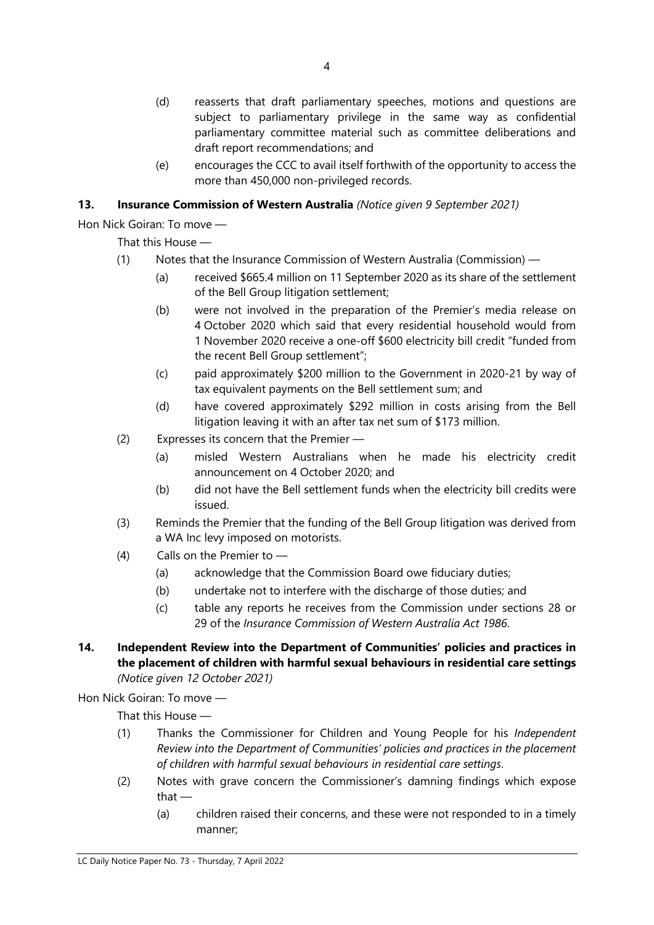- (d) reasserts that draft parliamentary speeches, motions and questions are subject to parliamentary privilege in the same way as confidential parliamentary committee material such as committee deliberations and draft report recommendations; and
- (e) encourages the CCC to avail itself forthwith of the opportunity to access the more than 450,000 non-privileged records.

# **13. Insurance Commission of Western Australia** *(Notice given 9 September 2021)*

Hon Nick Goiran: To move —

That this House —

- (1) Notes that the Insurance Commission of Western Australia (Commission)
	- (a) received \$665.4 million on 11 September 2020 as its share of the settlement of the Bell Group litigation settlement;
	- (b) were not involved in the preparation of the Premier's media release on 4 October 2020 which said that every residential household would from 1 November 2020 receive a one-off \$600 electricity bill credit "funded from the recent Bell Group settlement";
	- (c) paid approximately \$200 million to the Government in 2020-21 by way of tax equivalent payments on the Bell settlement sum; and
	- (d) have covered approximately \$292 million in costs arising from the Bell litigation leaving it with an after tax net sum of \$173 million.
- (2) Expresses its concern that the Premier
	- (a) misled Western Australians when he made his electricity credit announcement on 4 October 2020; and
	- (b) did not have the Bell settlement funds when the electricity bill credits were issued.
- (3) Reminds the Premier that the funding of the Bell Group litigation was derived from a WA Inc levy imposed on motorists.
- (4) Calls on the Premier to
	- (a) acknowledge that the Commission Board owe fiduciary duties;
	- (b) undertake not to interfere with the discharge of those duties; and
	- (c) table any reports he receives from the Commission under sections 28 or 29 of the *Insurance Commission of Western Australia Act 1986*.
- **14. Independent Review into the Department of Communities' policies and practices in the placement of children with harmful sexual behaviours in residential care settings** *(Notice given 12 October 2021)*

Hon Nick Goiran: To move —

That this House —

- (1) Thanks the Commissioner for Children and Young People for his *Independent Review into the Department of Communities' policies and practices in the placement of children with harmful sexual behaviours in residential care settings*.
- (2) Notes with grave concern the Commissioner's damning findings which expose that —
	- (a) children raised their concerns, and these were not responded to in a timely manner;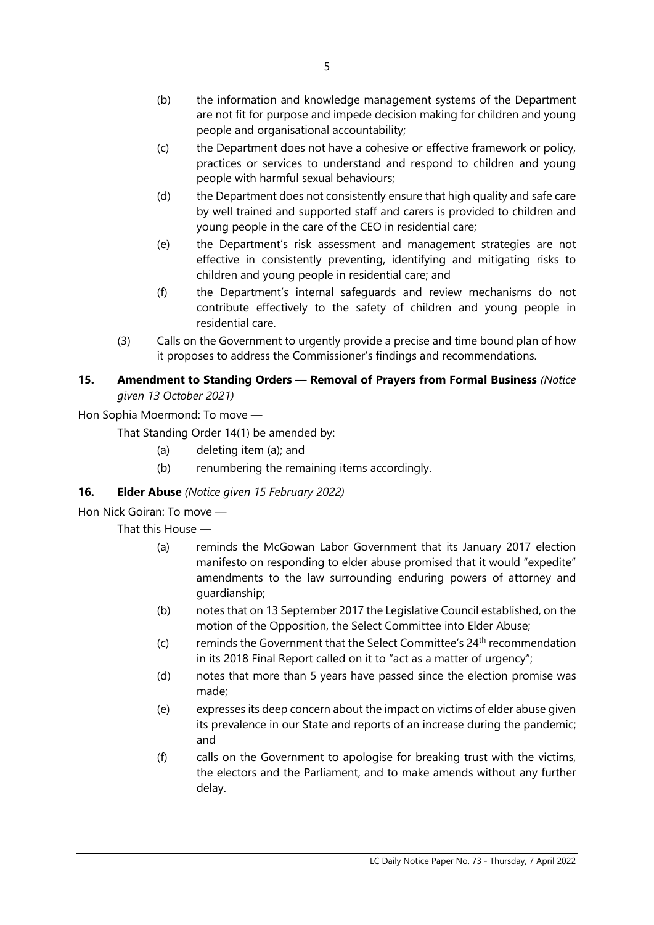- (b) the information and knowledge management systems of the Department are not fit for purpose and impede decision making for children and young people and organisational accountability;
- (c) the Department does not have a cohesive or effective framework or policy, practices or services to understand and respond to children and young people with harmful sexual behaviours;
- (d) the Department does not consistently ensure that high quality and safe care by well trained and supported staff and carers is provided to children and young people in the care of the CEO in residential care;
- (e) the Department's risk assessment and management strategies are not effective in consistently preventing, identifying and mitigating risks to children and young people in residential care; and
- (f) the Department's internal safeguards and review mechanisms do not contribute effectively to the safety of children and young people in residential care.
- (3) Calls on the Government to urgently provide a precise and time bound plan of how it proposes to address the Commissioner's findings and recommendations.

# **15. Amendment to Standing Orders — Removal of Prayers from Formal Business** *(Notice given 13 October 2021)*

Hon Sophia Moermond: To move —

That Standing Order 14(1) be amended by:

- (a) deleting item (a); and
- (b) renumbering the remaining items accordingly.

# **16. Elder Abuse** *(Notice given 15 February 2022)*

# Hon Nick Goiran: To move —

That this House —

- (a) reminds the McGowan Labor Government that its January 2017 election manifesto on responding to elder abuse promised that it would "expedite" amendments to the law surrounding enduring powers of attorney and guardianship;
- (b) notes that on 13 September 2017 the Legislative Council established, on the motion of the Opposition, the Select Committee into Elder Abuse;
- (c) reminds the Government that the Select Committee's  $24<sup>th</sup>$  recommendation in its 2018 Final Report called on it to "act as a matter of urgency";
- (d) notes that more than 5 years have passed since the election promise was made;
- (e) expresses its deep concern about the impact on victims of elder abuse given its prevalence in our State and reports of an increase during the pandemic; and
- (f) calls on the Government to apologise for breaking trust with the victims, the electors and the Parliament, and to make amends without any further delay.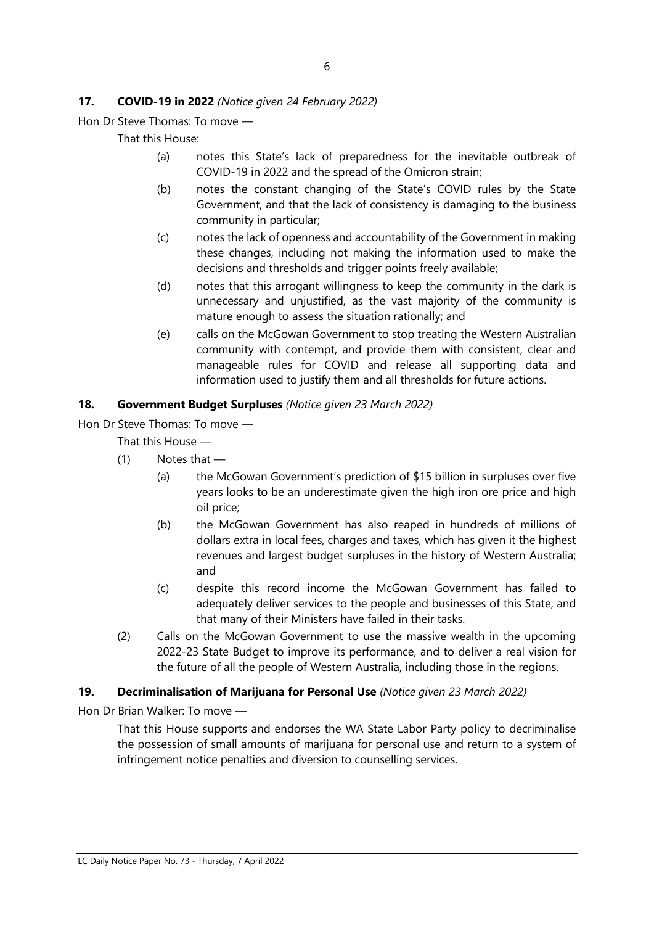#### **17. COVID-19 in 2022** *(Notice given 24 February 2022)*

Hon Dr Steve Thomas: To move —

That this House:

- (a) notes this State's lack of preparedness for the inevitable outbreak of COVID-19 in 2022 and the spread of the Omicron strain;
- (b) notes the constant changing of the State's COVID rules by the State Government, and that the lack of consistency is damaging to the business community in particular;
- (c) notes the lack of openness and accountability of the Government in making these changes, including not making the information used to make the decisions and thresholds and trigger points freely available;
- (d) notes that this arrogant willingness to keep the community in the dark is unnecessary and unjustified, as the vast majority of the community is mature enough to assess the situation rationally; and
- (e) calls on the McGowan Government to stop treating the Western Australian community with contempt, and provide them with consistent, clear and manageable rules for COVID and release all supporting data and information used to justify them and all thresholds for future actions.

#### **18. Government Budget Surpluses** *(Notice given 23 March 2022)*

Hon Dr Steve Thomas: To move —

That this House —

- (1) Notes that
	- (a) the McGowan Government's prediction of \$15 billion in surpluses over five years looks to be an underestimate given the high iron ore price and high oil price;
	- (b) the McGowan Government has also reaped in hundreds of millions of dollars extra in local fees, charges and taxes, which has given it the highest revenues and largest budget surpluses in the history of Western Australia; and
	- (c) despite this record income the McGowan Government has failed to adequately deliver services to the people and businesses of this State, and that many of their Ministers have failed in their tasks.
- (2) Calls on the McGowan Government to use the massive wealth in the upcoming 2022-23 State Budget to improve its performance, and to deliver a real vision for the future of all the people of Western Australia, including those in the regions.

#### **19. Decriminalisation of Marijuana for Personal Use** *(Notice given 23 March 2022)*

Hon Dr Brian Walker: To move —

That this House supports and endorses the WA State Labor Party policy to decriminalise the possession of small amounts of marijuana for personal use and return to a system of infringement notice penalties and diversion to counselling services.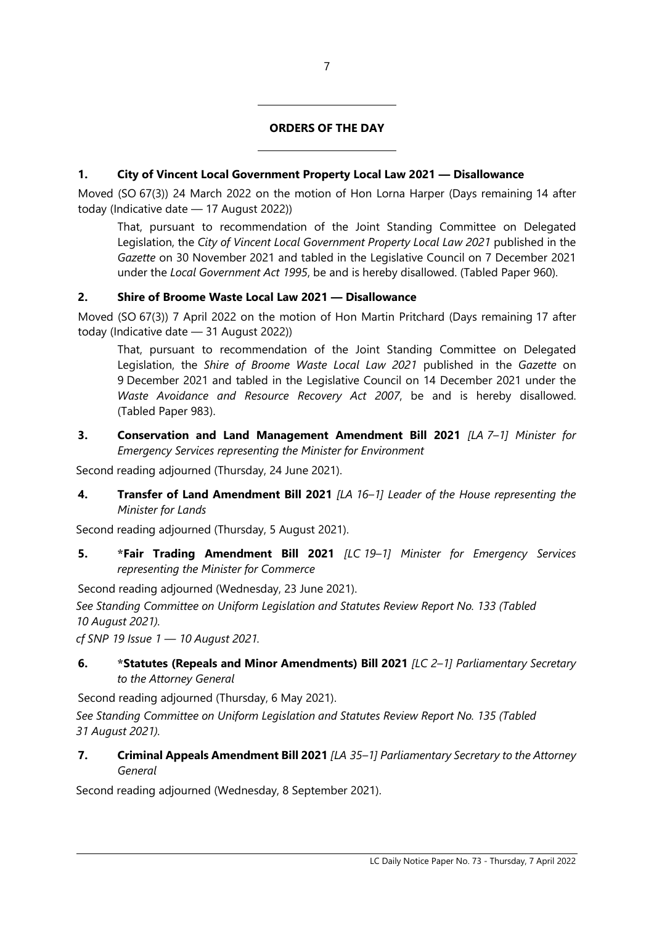# **ORDERS OF THE DAY**

# **1. City of Vincent Local Government Property Local Law 2021 — Disallowance**

Moved (SO 67(3)) 24 March 2022 on the motion of Hon Lorna Harper (Days remaining 14 after today (Indicative date — 17 August 2022))

That, pursuant to recommendation of the Joint Standing Committee on Delegated Legislation, the *City of Vincent Local Government Property Local Law 2021* published in the *Gazette* on 30 November 2021 and tabled in the Legislative Council on 7 December 2021 under the *Local Government Act 1995*, be and is hereby disallowed. (Tabled Paper 960).

### **2. Shire of Broome Waste Local Law 2021 — Disallowance**

 $\overline{\phantom{a}}$ 

 $\overline{\phantom{a}}$ 

Moved (SO 67(3)) 7 April 2022 on the motion of Hon Martin Pritchard (Days remaining 17 after today (Indicative date — 31 August 2022))

That, pursuant to recommendation of the Joint Standing Committee on Delegated Legislation, the *Shire of Broome Waste Local Law 2021* published in the *Gazette* on 9 December 2021 and tabled in the Legislative Council on 14 December 2021 under the *Waste Avoidance and Resource Recovery Act 2007*, be and is hereby disallowed. (Tabled Paper 983).

**3. Conservation and Land Management Amendment Bill 2021** *[LA 7–1] Minister for Emergency Services representing the Minister for Environment*

Second reading adjourned (Thursday, 24 June 2021).

**4. Transfer of Land Amendment Bill 2021** *[LA 16–1] Leader of the House representing the Minister for Lands*

Second reading adjourned (Thursday, 5 August 2021).

**5. \*Fair Trading Amendment Bill 2021** *[LC 19–1] Minister for Emergency Services representing the Minister for Commerce*

Second reading adjourned (Wednesday, 23 June 2021).

*See Standing Committee on Uniform Legislation and Statutes Review Report No. 133 (Tabled 10 August 2021).*

*cf SNP 19 Issue 1 — 10 August 2021.*

**6. \*Statutes (Repeals and Minor Amendments) Bill 2021** *[LC 2–1] Parliamentary Secretary to the Attorney General*

Second reading adjourned (Thursday, 6 May 2021).

*See Standing Committee on Uniform Legislation and Statutes Review Report No. 135 (Tabled 31 August 2021).*

**7. Criminal Appeals Amendment Bill 2021** *[LA 35–1] Parliamentary Secretary to the Attorney General*

Second reading adjourned (Wednesday, 8 September 2021).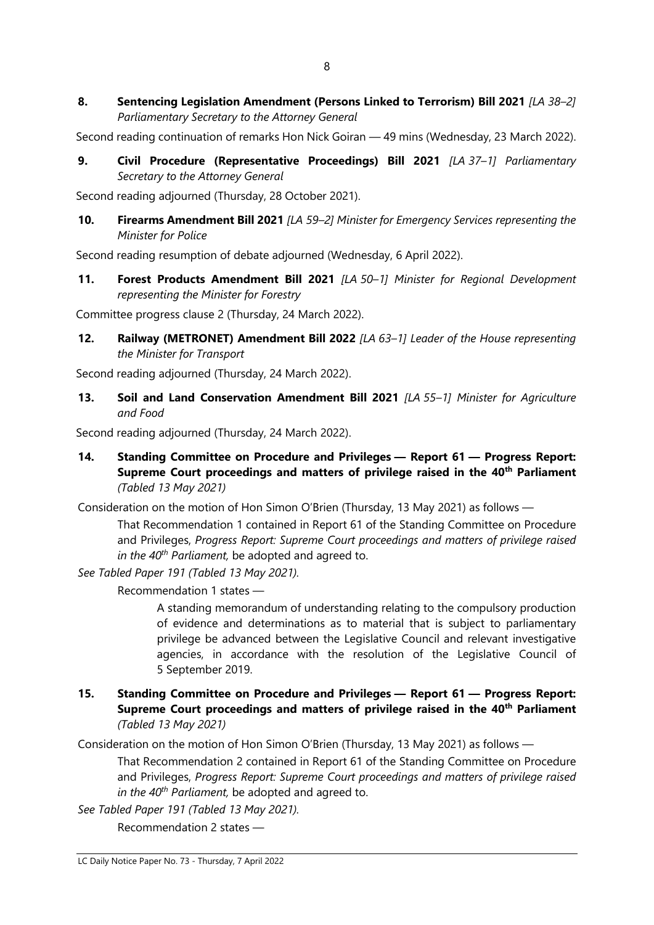Second reading continuation of remarks Hon Nick Goiran — 49 mins (Wednesday, 23 March 2022).

**9. Civil Procedure (Representative Proceedings) Bill 2021** *[LA 37–1] Parliamentary Secretary to the Attorney General*

Second reading adjourned (Thursday, 28 October 2021).

**10. Firearms Amendment Bill 2021** *[LA 59–2] Minister for Emergency Services representing the Minister for Police*

Second reading resumption of debate adjourned (Wednesday, 6 April 2022).

**11. Forest Products Amendment Bill 2021** *[LA 50–1] Minister for Regional Development representing the Minister for Forestry*

Committee progress clause 2 (Thursday, 24 March 2022).

**12. Railway (METRONET) Amendment Bill 2022** *[LA 63–1] Leader of the House representing the Minister for Transport*

Second reading adjourned (Thursday, 24 March 2022).

**13. Soil and Land Conservation Amendment Bill 2021** *[LA 55–1] Minister for Agriculture and Food*

Second reading adjourned (Thursday, 24 March 2022).

**14. Standing Committee on Procedure and Privileges — Report 61 — Progress Report: Supreme Court proceedings and matters of privilege raised in the 40th Parliament** *(Tabled 13 May 2021)*

Consideration on the motion of Hon Simon O'Brien (Thursday, 13 May 2021) as follows —

That Recommendation 1 contained in Report 61 of the Standing Committee on Procedure and Privileges, *Progress Report: Supreme Court proceedings and matters of privilege raised in the 40th Parliament,* be adopted and agreed to.

*See Tabled Paper 191 (Tabled 13 May 2021).*

Recommendation 1 states —

A standing memorandum of understanding relating to the compulsory production of evidence and determinations as to material that is subject to parliamentary privilege be advanced between the Legislative Council and relevant investigative agencies, in accordance with the resolution of the Legislative Council of 5 September 2019.

**15. Standing Committee on Procedure and Privileges — Report 61 — Progress Report: Supreme Court proceedings and matters of privilege raised in the 40th Parliament** *(Tabled 13 May 2021)*

Consideration on the motion of Hon Simon O'Brien (Thursday, 13 May 2021) as follows —

That Recommendation 2 contained in Report 61 of the Standing Committee on Procedure and Privileges, *Progress Report: Supreme Court proceedings and matters of privilege raised in the 40th Parliament,* be adopted and agreed to.

*See Tabled Paper 191 (Tabled 13 May 2021).*

Recommendation 2 states —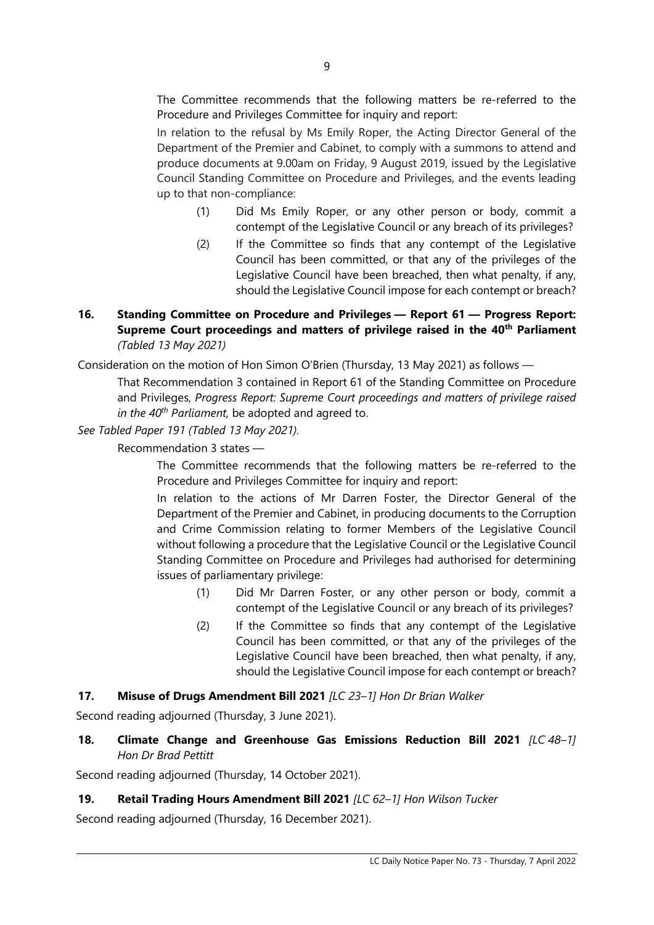The Committee recommends that the following matters be re-referred to the Procedure and Privileges Committee for inquiry and report:

In relation to the refusal by Ms Emily Roper, the Acting Director General of the Department of the Premier and Cabinet, to comply with a summons to attend and produce documents at 9.00am on Friday, 9 August 2019, issued by the Legislative Council Standing Committee on Procedure and Privileges, and the events leading up to that non-compliance:

- (1) Did Ms Emily Roper, or any other person or body, commit a contempt of the Legislative Council or any breach of its privileges?
- (2) If the Committee so finds that any contempt of the Legislative Council has been committed, or that any of the privileges of the Legislative Council have been breached, then what penalty, if any, should the Legislative Council impose for each contempt or breach?

#### **16. Standing Committee on Procedure and Privileges — Report 61 — Progress Report: Supreme Court proceedings and matters of privilege raised in the 40th Parliament** *(Tabled 13 May 2021)*

Consideration on the motion of Hon Simon O'Brien (Thursday, 13 May 2021) as follows —

That Recommendation 3 contained in Report 61 of the Standing Committee on Procedure and Privileges, *Progress Report: Supreme Court proceedings and matters of privilege raised in the 40th Parliament,* be adopted and agreed to.

#### *See Tabled Paper 191 (Tabled 13 May 2021).*

Recommendation 3 states —

The Committee recommends that the following matters be re-referred to the Procedure and Privileges Committee for inquiry and report:

In relation to the actions of Mr Darren Foster, the Director General of the Department of the Premier and Cabinet, in producing documents to the Corruption and Crime Commission relating to former Members of the Legislative Council without following a procedure that the Legislative Council or the Legislative Council Standing Committee on Procedure and Privileges had authorised for determining issues of parliamentary privilege:

- (1) Did Mr Darren Foster, or any other person or body, commit a contempt of the Legislative Council or any breach of its privileges?
- (2) If the Committee so finds that any contempt of the Legislative Council has been committed, or that any of the privileges of the Legislative Council have been breached, then what penalty, if any, should the Legislative Council impose for each contempt or breach?

#### **17. Misuse of Drugs Amendment Bill 2021** *[LC 23–1] Hon Dr Brian Walker*

Second reading adjourned (Thursday, 3 June 2021).

**18. Climate Change and Greenhouse Gas Emissions Reduction Bill 2021** *[LC 48–1] Hon Dr Brad Pettitt*

Second reading adjourned (Thursday, 14 October 2021).

#### **19. Retail Trading Hours Amendment Bill 2021** *[LC 62–1] Hon Wilson Tucker*

Second reading adjourned (Thursday, 16 December 2021).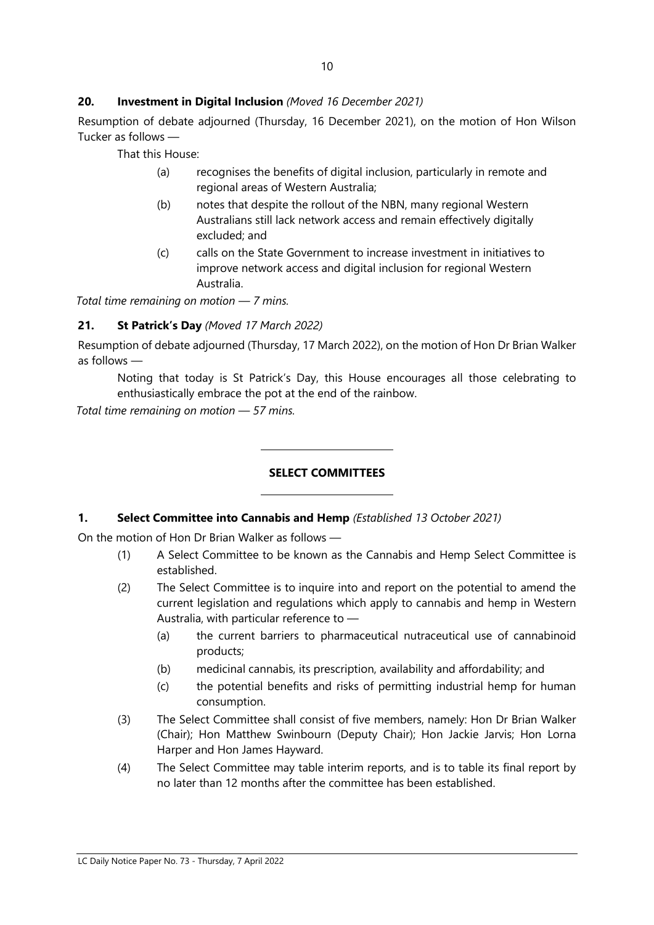#### **20. Investment in Digital Inclusion** *(Moved 16 December 2021)*

Resumption of debate adjourned (Thursday, 16 December 2021), on the motion of Hon Wilson Tucker as follows —

That this House:

- (a) recognises the benefits of digital inclusion, particularly in remote and regional areas of Western Australia;
- (b) notes that despite the rollout of the NBN, many regional Western Australians still lack network access and remain effectively digitally excluded; and
- (c) calls on the State Government to increase investment in initiatives to improve network access and digital inclusion for regional Western Australia.

*Total time remaining on motion — 7 mins.*

### **21. St Patrick's Day** *(Moved 17 March 2022)*

Resumption of debate adjourned (Thursday, 17 March 2022), on the motion of Hon Dr Brian Walker as follows —

Noting that today is St Patrick's Day, this House encourages all those celebrating to enthusiastically embrace the pot at the end of the rainbow.

*Total time remaining on motion — 57 mins.*

# **SELECT COMMITTEES**

#### **1. Select Committee into Cannabis and Hemp** *(Established 13 October 2021)*

 $\overline{a}$ 

 $\overline{a}$ 

On the motion of Hon Dr Brian Walker as follows —

- (1) A Select Committee to be known as the Cannabis and Hemp Select Committee is established.
- (2) The Select Committee is to inquire into and report on the potential to amend the current legislation and regulations which apply to cannabis and hemp in Western Australia, with particular reference to —
	- (a) the current barriers to pharmaceutical nutraceutical use of cannabinoid products;
	- (b) medicinal cannabis, its prescription, availability and affordability; and
	- (c) the potential benefits and risks of permitting industrial hemp for human consumption.
- (3) The Select Committee shall consist of five members, namely: Hon Dr Brian Walker (Chair); Hon Matthew Swinbourn (Deputy Chair); Hon Jackie Jarvis; Hon Lorna Harper and Hon James Hayward.
- (4) The Select Committee may table interim reports, and is to table its final report by no later than 12 months after the committee has been established.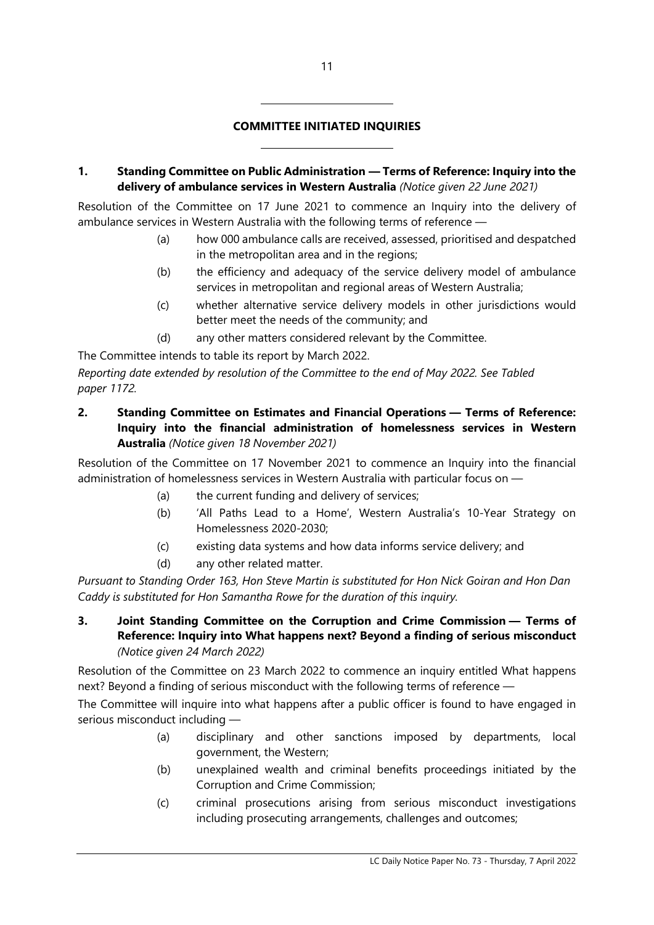### **COMMITTEE INITIATED INQUIRIES**

 $\overline{a}$ 

 $\overline{a}$ 

**1. Standing Committee on Public Administration — Terms of Reference: Inquiry into the delivery of ambulance services in Western Australia** *(Notice given 22 June 2021)*

Resolution of the Committee on 17 June 2021 to commence an Inquiry into the delivery of ambulance services in Western Australia with the following terms of reference —

- (a) how 000 ambulance calls are received, assessed, prioritised and despatched in the metropolitan area and in the regions;
- (b) the efficiency and adequacy of the service delivery model of ambulance services in metropolitan and regional areas of Western Australia;
- (c) whether alternative service delivery models in other jurisdictions would better meet the needs of the community; and
- (d) any other matters considered relevant by the Committee.

The Committee intends to table its report by March 2022.

*Reporting date extended by resolution of the Committee to the end of May 2022. See Tabled paper 1172.*

**2. Standing Committee on Estimates and Financial Operations — Terms of Reference: Inquiry into the financial administration of homelessness services in Western Australia** *(Notice given 18 November 2021)*

Resolution of the Committee on 17 November 2021 to commence an Inquiry into the financial administration of homelessness services in Western Australia with particular focus on —

- (a) the current funding and delivery of services;
- (b) 'All Paths Lead to a Home', Western Australia's 10-Year Strategy on Homelessness 2020-2030;
- (c) existing data systems and how data informs service delivery; and
- (d) any other related matter.

*Pursuant to Standing Order 163, Hon Steve Martin is substituted for Hon Nick Goiran and Hon Dan Caddy is substituted for Hon Samantha Rowe for the duration of this inquiry.*

**3. Joint Standing Committee on the Corruption and Crime Commission — Terms of Reference: Inquiry into What happens next? Beyond a finding of serious misconduct** *(Notice given 24 March 2022)*

Resolution of the Committee on 23 March 2022 to commence an inquiry entitled What happens next? Beyond a finding of serious misconduct with the following terms of reference —

The Committee will inquire into what happens after a public officer is found to have engaged in serious misconduct including —

- (a) disciplinary and other sanctions imposed by departments, local government, the Western;
- (b) unexplained wealth and criminal benefits proceedings initiated by the Corruption and Crime Commission;
- (c) criminal prosecutions arising from serious misconduct investigations including prosecuting arrangements, challenges and outcomes;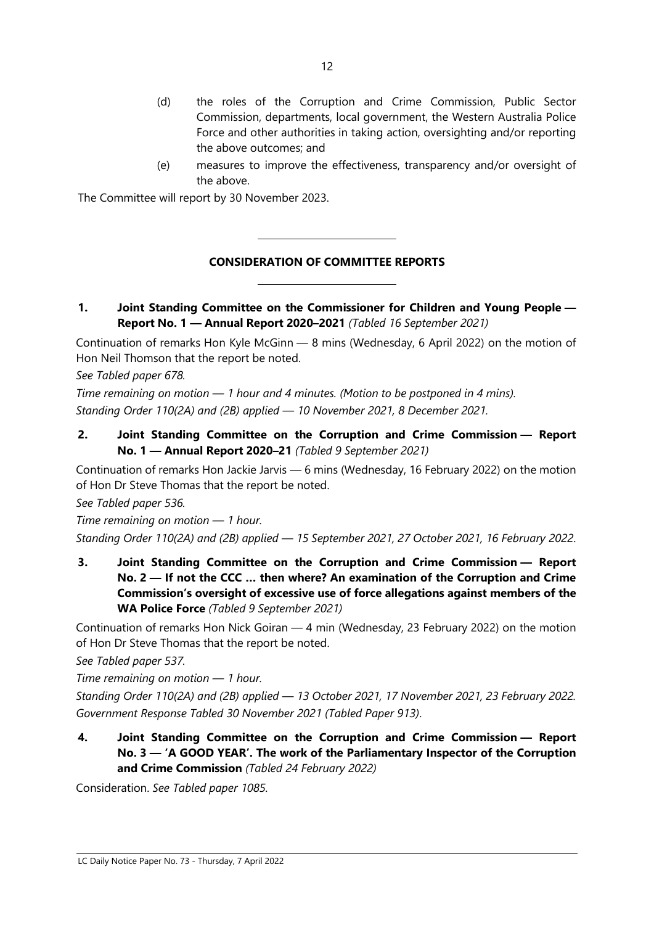- (d) the roles of the Corruption and Crime Commission, Public Sector Commission, departments, local government, the Western Australia Police Force and other authorities in taking action, oversighting and/or reporting the above outcomes; and
- (e) measures to improve the effectiveness, transparency and/or oversight of the above.

The Committee will report by 30 November 2023.

 $\overline{\phantom{a}}$ 

 $\overline{\phantom{a}}$ 

#### **CONSIDERATION OF COMMITTEE REPORTS**

**1. Joint Standing Committee on the Commissioner for Children and Young People — Report No. 1 — Annual Report 2020–2021** *(Tabled 16 September 2021)*

Continuation of remarks Hon Kyle McGinn — 8 mins (Wednesday, 6 April 2022) on the motion of Hon Neil Thomson that the report be noted.

*See Tabled paper 678.*

*Time remaining on motion — 1 hour and 4 minutes. (Motion to be postponed in 4 mins). Standing Order 110(2A) and (2B) applied — 10 November 2021, 8 December 2021.*

**2. Joint Standing Committee on the Corruption and Crime Commission — Report No. 1 — Annual Report 2020–21** *(Tabled 9 September 2021)*

Continuation of remarks Hon Jackie Jarvis — 6 mins (Wednesday, 16 February 2022) on the motion of Hon Dr Steve Thomas that the report be noted.

*See Tabled paper 536.*

*Time remaining on motion — 1 hour. Standing Order 110(2A) and (2B) applied — 15 September 2021, 27 October 2021, 16 February 2022*.

**3. Joint Standing Committee on the Corruption and Crime Commission — Report No. 2 — If not the CCC … then where? An examination of the Corruption and Crime Commission's oversight of excessive use of force allegations against members of the WA Police Force** *(Tabled 9 September 2021)*

Continuation of remarks Hon Nick Goiran — 4 min (Wednesday, 23 February 2022) on the motion of Hon Dr Steve Thomas that the report be noted.

*See Tabled paper 537.*

*Time remaining on motion — 1 hour.*

*Standing Order 110(2A) and (2B) applied — 13 October 2021, 17 November 2021, 23 February 2022. Government Response Tabled 30 November 2021 (Tabled Paper 913)*.

**4. Joint Standing Committee on the Corruption and Crime Commission — Report No. 3 — 'A GOOD YEAR'. The work of the Parliamentary Inspector of the Corruption and Crime Commission** *(Tabled 24 February 2022)*

Consideration. *See Tabled paper 1085.*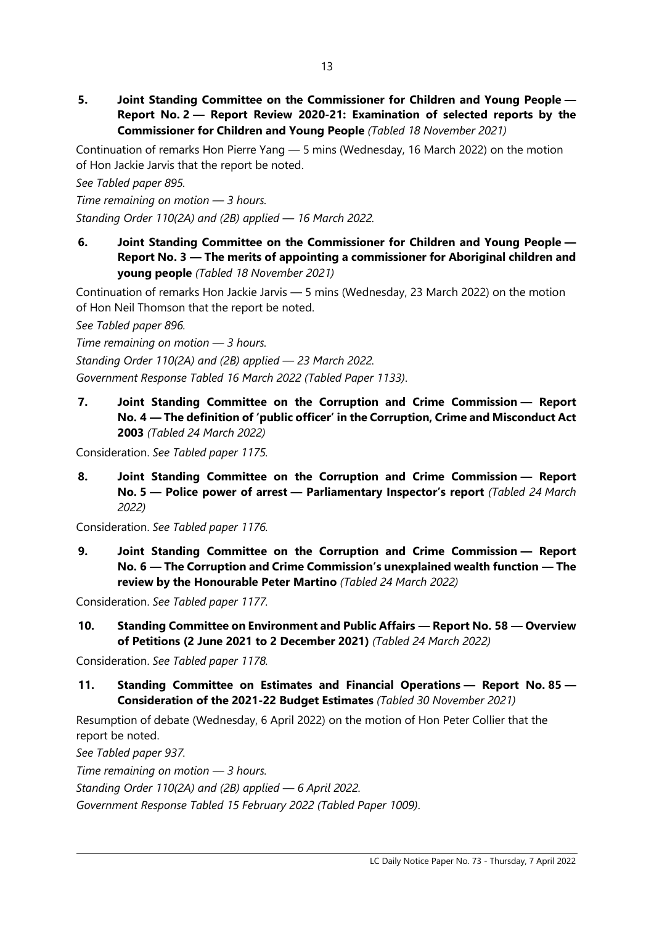**5. Joint Standing Committee on the Commissioner for Children and Young People — Report No. 2 — Report Review 2020-21: Examination of selected reports by the Commissioner for Children and Young People** *(Tabled 18 November 2021)*

Continuation of remarks Hon Pierre Yang — 5 mins (Wednesday, 16 March 2022) on the motion of Hon Jackie Jarvis that the report be noted.

*See Tabled paper 895.*

*Time remaining on motion — 3 hours.*

*Standing Order 110(2A) and (2B) applied — 16 March 2022.*

**6. Joint Standing Committee on the Commissioner for Children and Young People — Report No. 3 — The merits of appointing a commissioner for Aboriginal children and young people** *(Tabled 18 November 2021)*

Continuation of remarks Hon Jackie Jarvis — 5 mins (Wednesday, 23 March 2022) on the motion of Hon Neil Thomson that the report be noted.

*See Tabled paper 896.*

*Time remaining on motion — 3 hours.*

*Standing Order 110(2A) and (2B) applied — 23 March 2022.*

*Government Response Tabled 16 March 2022 (Tabled Paper 1133)*.

**7. Joint Standing Committee on the Corruption and Crime Commission — Report No. 4 — The definition of 'public officer' in the Corruption, Crime and Misconduct Act 2003** *(Tabled 24 March 2022)*

Consideration. *See Tabled paper 1175.*

**8. Joint Standing Committee on the Corruption and Crime Commission — Report No. 5 — Police power of arrest — Parliamentary Inspector's report** *(Tabled 24 March 2022)*

Consideration. *See Tabled paper 1176.*

**9. Joint Standing Committee on the Corruption and Crime Commission — Report No. 6 — The Corruption and Crime Commission's unexplained wealth function — The review by the Honourable Peter Martino** *(Tabled 24 March 2022)*

Consideration. *See Tabled paper 1177.*

**10. Standing Committee on Environment and Public Affairs — Report No. 58 — Overview of Petitions (2 June 2021 to 2 December 2021)** *(Tabled 24 March 2022)*

Consideration. *See Tabled paper 1178.*

**11. Standing Committee on Estimates and Financial Operations — Report No. 85 — Consideration of the 2021-22 Budget Estimates** *(Tabled 30 November 2021)*

Resumption of debate (Wednesday, 6 April 2022) on the motion of Hon Peter Collier that the report be noted.

*See Tabled paper 937.*

*Time remaining on motion — 3 hours.*

*Standing Order 110(2A) and (2B) applied — 6 April 2022.*

*Government Response Tabled 15 February 2022 (Tabled Paper 1009)*.